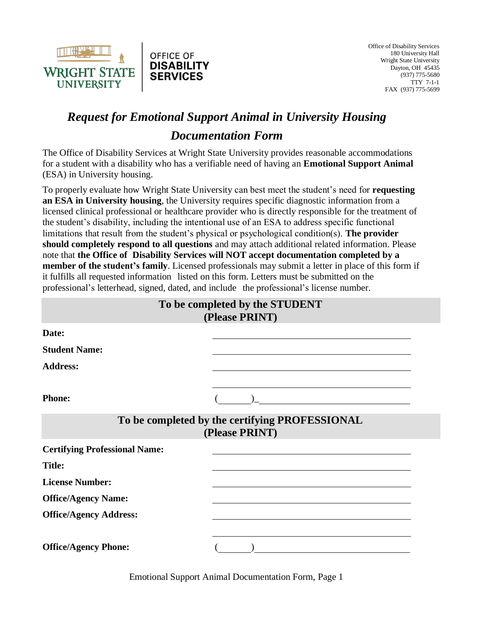

## *Request for Emotional Support Animal in University Housing Documentation Form*

The Office of Disability Services at Wright State University provides reasonable accommodations for a student with a disability who has a verifiable need of having an **Emotional Support Animal**  (ESA) in University housing.

To properly evaluate how Wright State University can best meet the student's need for **requesting an ESA in University housing**, the University requires specific diagnostic information from a licensed clinical professional or healthcare provider who is directly responsible for the treatment of the student's disability, including the intentional use of an ESA to address specific functional limitations that result from the student's physical or psychological condition(s). **The provider should completely respond to all questions** and may attach additional related information. Please note that **the Office of Disability Services will NOT accept documentation completed by a member of the student's family**. Licensed professionals may submit a letter in place of this form if it fulfills all requested information listed on this form. Letters must be submitted on the professional's letterhead, signed, dated, and include the professional's license number.

|                                      | To be completed by the STUDENT<br>(Please PRINT)                 |
|--------------------------------------|------------------------------------------------------------------|
| Date:                                |                                                                  |
| <b>Student Name:</b>                 |                                                                  |
| <b>Address:</b>                      |                                                                  |
| <b>Phone:</b>                        |                                                                  |
|                                      | To be completed by the certifying PROFESSIONAL<br>(Please PRINT) |
| <b>Certifying Professional Name:</b> |                                                                  |
| <b>Title:</b>                        |                                                                  |
| <b>License Number:</b>               |                                                                  |
| <b>Office/Agency Name:</b>           |                                                                  |
| <b>Office/Agency Address:</b>        |                                                                  |
| <b>Office/Agency Phone:</b>          |                                                                  |

Emotional Support Animal Documentation Form, Page 1